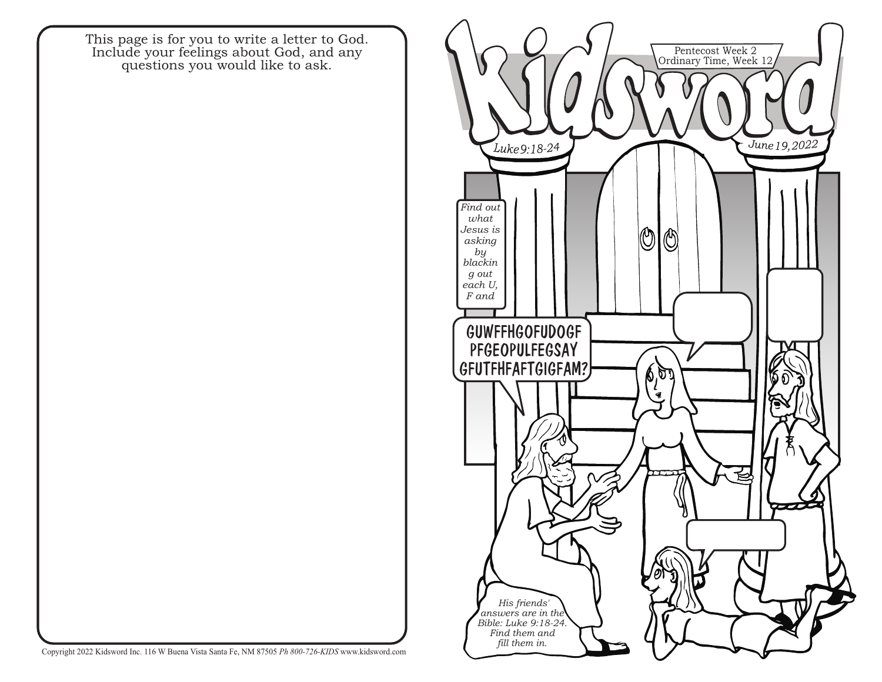This page is for you to write a letter to God. Include your feelings about God, and any questions you would like to ask.



Copyright 2022 Kidsword Inc. 116 W Buena Vista Santa Fe, NM 87505 *Ph 800-726-KIDS* www.kidsword.com